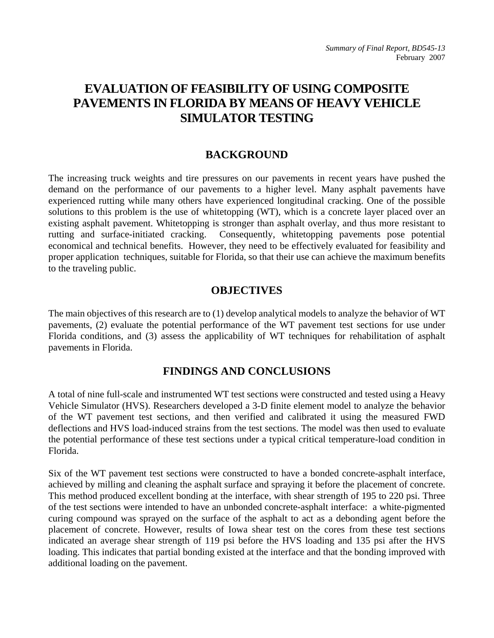# **EVALUATION OF FEASIBILITY OF USING COMPOSITE PAVEMENTS IN FLORIDA BY MEANS OF HEAVY VEHICLE SIMULATOR TESTING**

## **BACKGROUND**

The increasing truck weights and tire pressures on our pavements in recent years have pushed the demand on the performance of our pavements to a higher level. Many asphalt pavements have experienced rutting while many others have experienced longitudinal cracking. One of the possible solutions to this problem is the use of whitetopping (WT), which is a concrete layer placed over an existing asphalt pavement. Whitetopping is stronger than asphalt overlay, and thus more resistant to rutting and surface-initiated cracking. Consequently, whitetopping pavements pose potential economical and technical benefits. However, they need to be effectively evaluated for feasibility and proper application techniques, suitable for Florida, so that their use can achieve the maximum benefits to the traveling public.

### **OBJECTIVES**

The main objectives of this research are to (1) develop analytical models to analyze the behavior of WT pavements, (2) evaluate the potential performance of the WT pavement test sections for use under Florida conditions, and (3) assess the applicability of WT techniques for rehabilitation of asphalt pavements in Florida.

## **FINDINGS AND CONCLUSIONS**

A total of nine full-scale and instrumented WT test sections were constructed and tested using a Heavy Vehicle Simulator (HVS). Researchers developed a 3-D finite element model to analyze the behavior of the WT pavement test sections, and then verified and calibrated it using the measured FWD deflections and HVS load-induced strains from the test sections. The model was then used to evaluate the potential performance of these test sections under a typical critical temperature-load condition in Florida.

Six of the WT pavement test sections were constructed to have a bonded concrete-asphalt interface, achieved by milling and cleaning the asphalt surface and spraying it before the placement of concrete. This method produced excellent bonding at the interface, with shear strength of 195 to 220 psi. Three of the test sections were intended to have an unbonded concrete-asphalt interface: a white-pigmented curing compound was sprayed on the surface of the asphalt to act as a debonding agent before the placement of concrete. However, results of Iowa shear test on the cores from these test sections indicated an average shear strength of 119 psi before the HVS loading and 135 psi after the HVS loading. This indicates that partial bonding existed at the interface and that the bonding improved with additional loading on the pavement.